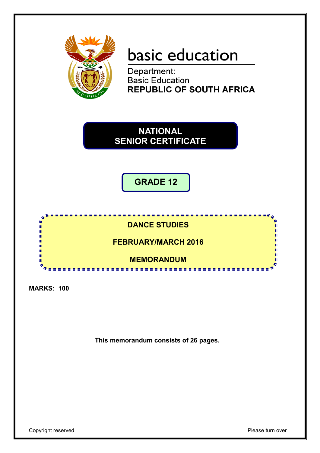

# basic education

Department: **Basic Education<br>REPUBLIC OF SOUTH AFRICA** 

**NATIONAL SENIOR CERTIFICATE**

**GRADE 12**



**MARKS: 100**

**This memorandum consists of 26 pages.**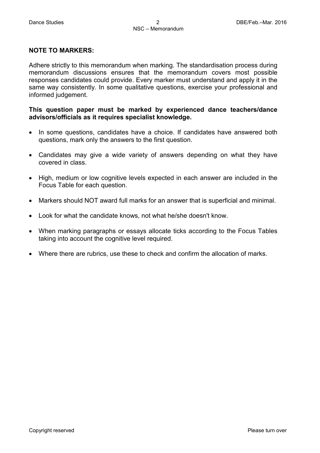#### **NOTE TO MARKERS:**

Adhere strictly to this memorandum when marking. The standardisation process during memorandum discussions ensures that the memorandum covers most possible responses candidates could provide. Every marker must understand and apply it in the same way consistently. In some qualitative questions, exercise your professional and informed judgement.

#### **This question paper must be marked by experienced dance teachers/dance advisors/officials as it requires specialist knowledge.**

- In some questions, candidates have a choice. If candidates have answered both questions, mark only the answers to the first question.
- Candidates may give a wide variety of answers depending on what they have covered in class.
- High, medium or low cognitive levels expected in each answer are included in the Focus Table for each question.
- Markers should NOT award full marks for an answer that is superficial and minimal.
- Look for what the candidate knows, not what he/she doesn't know.
- When marking paragraphs or essays allocate ticks according to the Focus Tables taking into account the cognitive level required.
- Where there are rubrics, use these to check and confirm the allocation of marks.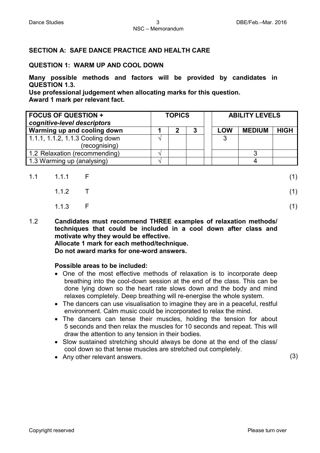#### **SECTION A: SAFE DANCE PRACTICE AND HEALTH CARE**

#### **QUESTION 1: WARM UP AND COOL DOWN**

**Many possible methods and factors will be provided by candidates in QUESTION 1.3.** 

**Use professional judgement when allocating marks for this question. Award 1 mark per relevant fact.**

| <b>FOCUS OF QUESTION +</b><br>cognitive-level descriptors | <b>TOPICS</b> |  | <b>ABILITY LEVELS</b> |            |               |             |
|-----------------------------------------------------------|---------------|--|-----------------------|------------|---------------|-------------|
| Warming up and cooling down                               |               |  | 3                     | <b>LOW</b> | <b>MEDIUM</b> | <b>HIGH</b> |
| 1.1.1, 1.1.2, 1.1.3 Cooling down                          |               |  |                       | -3         |               |             |
| (recognising)                                             |               |  |                       |            |               |             |
| 1.2 Relaxation (recommending)                             |               |  |                       |            |               |             |
| 1.3 Warming up (analysing)                                |               |  |                       |            |               |             |

| $1.1$ $1.1.1$ F | (1) |
|-----------------|-----|
| 1.1.2 $\top$    | (1) |
| 1.1.3 $F$       | (1) |

1.2 **Candidates must recommend THREE examples of relaxation methods/ techniques that could be included in a cool down after class and motivate why they would be effective.**

### **Allocate 1 mark for each method/technique.**

**Do not award marks for one-word answers.**

#### **Possible areas to be included:**

- One of the most effective methods of relaxation is to incorporate deep breathing into the cool-down session at the end of the class. This can be done lying down so the heart rate slows down and the body and mind relaxes completely. Deep breathing will re-energise the whole system.
- The dancers can use visualisation to imagine they are in a peaceful, restful environment. Calm music could be incorporated to relax the mind.
- The dancers can tense their muscles, holding the tension for about 5 seconds and then relax the muscles for 10 seconds and repeat. This will draw the attention to any tension in their bodies.
- Slow sustained stretching should always be done at the end of the class/ cool down so that tense muscles are stretched out completely.
- Any other relevant answers. (3)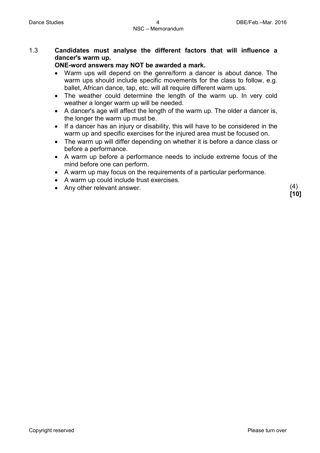#### 1.3 **Candidates must analyse the different factors that will influence a dancer's warm up.**

#### **ONE-word answers may NOT be awarded a mark.**

- Warm ups will depend on the genre/form a dancer is about dance. The warm ups should include specific movements for the class to follow, e.g. ballet, African dance, tap, etc. will all require different warm ups.
- The weather could determine the length of the warm up. In very cold weather a longer warm up will be needed.
- A dancer's age will affect the length of the warm up. The older a dancer is, the longer the warm up must be.
- If a dancer has an injury or disability, this will have to be considered in the warm up and specific exercises for the injured area must be focused on.
- The warm up will differ depending on whether it is before a dance class or before a performance.
- A warm up before a performance needs to include extreme focus of the mind before one can perform.
- A warm up may focus on the requirements of a particular performance.
- A warm up could include trust exercises.
- Any other relevant answer. (4)

**[10]**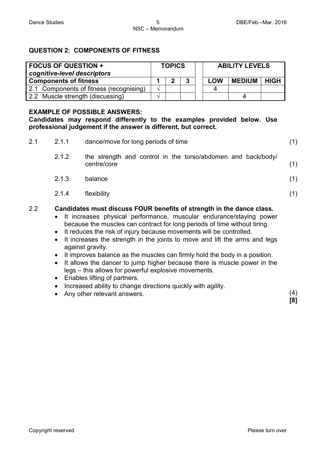#### **QUESTION 2: COMPONENTS OF FITNESS**

| <b>FOCUS OF QUESTION +</b><br>cognitive-level descriptors | <b>TOPICS</b> |  | <b>ABILITY LEVELS</b> |            |               |             |
|-----------------------------------------------------------|---------------|--|-----------------------|------------|---------------|-------------|
| <b>Components of fitness</b>                              |               |  | 3                     | <b>LOW</b> | <b>MEDIUM</b> | <b>HIGH</b> |
| 2.1 Components of fitness (recognising)                   | 1.            |  |                       |            |               |             |
| 2.2 Muscle strength (discussing)                          |               |  |                       |            |               |             |

#### **EXAMPLE OF POSSIBLE ANSWERS:**

**Candidates may respond differently to the examples provided below. Use professional judgement if the answer is different, but correct.**

| 2.1 | 2.1.1                  | dance/move for long periods of time                                                                                                                                                                                                                                                                                                                                                                | (1) |
|-----|------------------------|----------------------------------------------------------------------------------------------------------------------------------------------------------------------------------------------------------------------------------------------------------------------------------------------------------------------------------------------------------------------------------------------------|-----|
|     | 2.1.2                  | the strength and control in the torso/abdomen and back/body/<br>centre/core                                                                                                                                                                                                                                                                                                                        | (1) |
|     | 2.1.3                  | balance                                                                                                                                                                                                                                                                                                                                                                                            | (1) |
|     | 2.1.4                  | flexibility                                                                                                                                                                                                                                                                                                                                                                                        | (1) |
| 2.2 | $\bullet$<br>$\bullet$ | Candidates must discuss FOUR benefits of strength in the dance class.<br>It increases physical performance, muscular endurance/staying power<br>because the muscles can contract for long periods of time without tiring.<br>It reduces the risk of injury because movements will be controlled.<br>It increases the strength in the joints to move and lift the arms and legs<br>against gravity. |     |

- It improves balance as the muscles can firmly hold the body in a position.
- It allows the dancer to jump higher because there is muscle power in the legs – this allows for powerful explosive movements.
- Enables lifting of partners.
- Increased ability to change directions quickly with agility.
- Any other relevant answers. (4)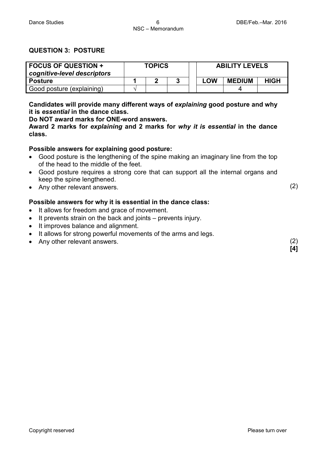(2)

(2) **[4]**

#### **QUESTION 3: POSTURE**

| <b>FOCUS OF QUESTION +</b><br>cognitive-level descriptors | <b>TOPICS</b> |  |  | <b>ABILITY LEVELS</b> |               |             |  |  |
|-----------------------------------------------------------|---------------|--|--|-----------------------|---------------|-------------|--|--|
| <b>Posture</b>                                            |               |  |  | <b>LOW</b>            | <b>MEDIUM</b> | <b>HIGH</b> |  |  |
| Good posture (explaining)                                 |               |  |  |                       |               |             |  |  |

**Candidates will provide many different ways of explaining good posture and why it is** *essential* **in the dance class.** 

**Do NOT award marks for ONE-word answers.**

**Award 2 marks for** *explaining* **and 2 marks for** *why it is essential* **in the dance class.**

#### **Possible answers for explaining good posture:**

- Good posture is the lengthening of the spine making an imaginary line from the top of the head to the middle of the feet.
- Good posture requires a strong core that can support all the internal organs and keep the spine lengthened.
- Any other relevant answers.

#### **Possible answers for why it is essential in the dance class:**

- It allows for freedom and grace of movement.
- It prevents strain on the back and joints prevents injury.
- It improves balance and alignment.
- It allows for strong powerful movements of the arms and legs.
- Any other relevant answers.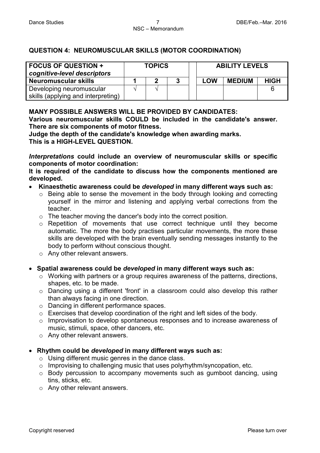#### **QUESTION 4: NEUROMUSCULAR SKILLS (MOTOR COORDINATION)**

| <b>FOCUS OF QUESTION +</b><br>cognitive-level descriptors | <b>TOPICS</b> |  |   | <b>ABILITY LEVELS</b> |               |             |
|-----------------------------------------------------------|---------------|--|---|-----------------------|---------------|-------------|
| Neuromuscular skills                                      |               |  | 2 | <b>LOW</b>            | <b>MEDIUM</b> | <b>HIGH</b> |
| Developing neuromuscular                                  |               |  |   |                       |               |             |
| skills (applying and interpreting)                        |               |  |   |                       |               |             |

#### **MANY POSSIBLE ANSWERS WILL BE PROVIDED BY CANDIDATES:**

**Various neuromuscular skills COULD be included in the candidate's answer. There are six components of motor fitness.**

**Judge the depth of the candidate's knowledge when awarding marks. This is a HIGH-LEVEL QUESTION.**

*Interpretations* **could include an overview of neuromuscular skills or specific components of motor coordination:**

**It is required of the candidate to discuss how the components mentioned are developed.**

#### • **Kinaesthetic awareness could be** *developed* **in many different ways such as:**

- o Being able to sense the movement in the body through looking and correcting yourself in the mirror and listening and applying verbal corrections from the teacher.
- o The teacher moving the dancer's body into the correct position.
- o Repetition of movements that use correct technique until they become automatic. The more the body practises particular movements, the more these skills are developed with the brain eventually sending messages instantly to the body to perform without conscious thought.
- o Any other relevant answers.

#### • **Spatial awareness could be** *developed* **in many different ways such as:**

- o Working with partners or a group requires awareness of the patterns, directions, shapes, etc. to be made.
- o Dancing using a different 'front' in a classroom could also develop this rather than always facing in one direction.
- o Dancing in different performance spaces.
- o Exercises that develop coordination of the right and left sides of the body.
- o Improvisation to develop spontaneous responses and to increase awareness of music, stimuli, space, other dancers, etc.
- o Any other relevant answers.
- **Rhythm could be** *developed* **in many different ways such as:**
	- $\circ$  Using different music genres in the dance class.
	- o Improvising to challenging music that uses polyrhythm/syncopation, etc.
	- o Body percussion to accompany movements such as gumboot dancing, using tins, sticks, etc.
	- o Any other relevant answers.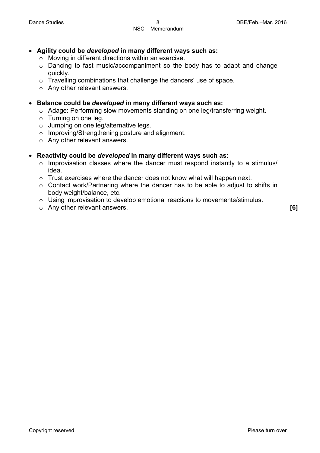- **Agility could be** *developed* **in many different ways such as:**
	- o Moving in different directions within an exercise.
	- o Dancing to fast music/accompaniment so the body has to adapt and change quickly.
	- o Travelling combinations that challenge the dancers' use of space.
	- o Any other relevant answers.
- **Balance could be** *developed* **in many different ways such as:**
	- o Adage: Performing slow movements standing on one leg/transferring weight.
	- o Turning on one leg.
	- o Jumping on one leg/alternative legs.
	- o Improving/Strengthening posture and alignment.
	- o Any other relevant answers.

#### • **Reactivity could be** *developed* **in many different ways such as:**

- o Improvisation classes where the dancer must respond instantly to a stimulus/ idea.
- o Trust exercises where the dancer does not know what will happen next.
- o Contact work/Partnering where the dancer has to be able to adjust to shifts in body weight/balance, etc.
- o Using improvisation to develop emotional reactions to movements/stimulus.
- o Any other relevant answers. **[6]**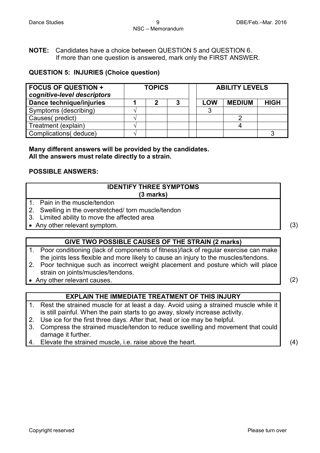**NOTE:** Candidates have a choice between QUESTION 5 and QUESTION 6. If more than one question is answered, mark only the FIRST ANSWER.

#### **QUESTION 5: INJURIES (Choice question)**

| <b>FOCUS OF QUESTION +</b><br>cognitive-level descriptors | <b>TOPICS</b> |    |   | <b>ABILITY LEVELS</b> |               |             |  |
|-----------------------------------------------------------|---------------|----|---|-----------------------|---------------|-------------|--|
| Dance technique/injuries                                  |               | ּמ | 3 | <b>LOW</b>            | <b>MEDIUM</b> | <b>HIGH</b> |  |
| Symptoms (describing)                                     |               |    |   | 3                     |               |             |  |
| Causes(predict)                                           |               |    |   |                       |               |             |  |
| Treatment (explain)                                       |               |    |   |                       |               |             |  |
| Complications (deduce)                                    |               |    |   |                       |               |             |  |

**Many different answers will be provided by the candidates. All the answers must relate directly to a strain.** 

#### **POSSIBLE ANSWERS:**

#### **IDENTIFY THREE SYMPTOMS (3 marks)**

- 1. Pain in the muscle/tendon
- 2. Swelling in the overstretched/ torn muscle/tendon
- 3. Limited ability to move the affected area
- Any other relevant symptom. (3)

#### **GIVE TWO POSSIBLE CAUSES OF THE STRAIN (2 marks)**

- 1. Poor conditioning (lack of components of fitness)/lack of regular exercise can make the joints less flexible and more likely to cause an injury to the muscles/tendons.
- 2. Poor technique such as incorrect weight placement and posture which will place strain on joints/muscles/tendons.
- Any other relevant causes. (2)

#### **EXPLAIN THE IMMEDIATE TREATMENT OF THIS INJURY**

- 1. Rest the strained muscle for at least a day. Avoid using a strained muscle while it is still painful. When the pain starts to go away, slowly increase activity.
- 2. Use ice for the first three days. After that, heat or ice may be helpful.
- 3. Compress the strained muscle/tendon to reduce swelling and movement that could damage it further.
- 4. Elevate the strained muscle, i.e. raise above the heart. (4)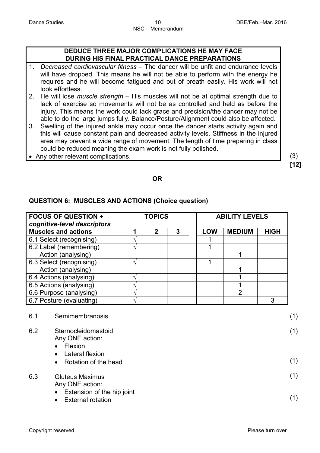#### **DEDUCE THREE MAJOR COMPLICATIONS HE MAY FACE DURING HIS FINAL PRACTICAL DANCE PREPARATIONS**

- 1. *Decreased cardiovascular fitness* The dancer will be unfit and endurance levels will have dropped. This means he will not be able to perform with the energy he requires and he will become fatigued and out of breath easily. His work will not look effortless.
- 2. He will lose *muscle strength* His muscles will not be at optimal strength due to lack of exercise so movements will not be as controlled and held as before the injury. This means the work could lack grace and precision/the dancer may not be able to do the large jumps fully. Balance/Posture/Alignment could also be affected.
- 3. Swelling of the injured ankle may occur once the dancer starts activity again and this will cause constant pain and decreased activity levels. Stiffness in the injured area may prevent a wide range of movement. The length of time preparing in class could be reduced meaning the exam work is not fully polished.
- Any other relevant complications. (3)

**[12]**

#### **OR**

#### **QUESTION 6: MUSCLES AND ACTIONS (Choice question)**

| <b>FOCUS OF QUESTION +</b><br>cognitive-level descriptors | <b>TOPICS</b> |   |   | <b>ABILITY LEVELS</b> |               |             |  |
|-----------------------------------------------------------|---------------|---|---|-----------------------|---------------|-------------|--|
| <b>Muscles and actions</b>                                |               | 2 | 3 | <b>LOW</b>            | <b>MEDIUM</b> | <b>HIGH</b> |  |
| 6.1 Select (recognising)                                  |               |   |   |                       |               |             |  |
| 6.2 Label (remembering)                                   |               |   |   |                       |               |             |  |
| Action (analysing)                                        |               |   |   |                       |               |             |  |
| 6.3 Select (recognising)                                  |               |   |   |                       |               |             |  |
| Action (analysing)                                        |               |   |   |                       |               |             |  |
| 6.4 Actions (analysing)                                   |               |   |   |                       |               |             |  |
| 6.5 Actions (analysing)                                   |               |   |   |                       |               |             |  |
| 6.6 Purpose (analysing)                                   |               |   |   |                       | っ             |             |  |
| 6.7 Posture (evaluating)                                  |               |   |   |                       |               | 3           |  |

| 6.1 | Semimembranosis                                                                  | (1) |
|-----|----------------------------------------------------------------------------------|-----|
| 6.2 | Sternocleidomastoid<br>Any ONE action:<br>Flexion<br>$\bullet$                   | (1) |
|     | Lateral flexion<br>$\bullet$<br>Rotation of the head<br>$\bullet$                | (1) |
| 6.3 | <b>Gluteus Maximus</b><br>Any ONE action:                                        | (1) |
|     | Extension of the hip joint<br>$\bullet$<br><b>External rotation</b><br>$\bullet$ | (1) |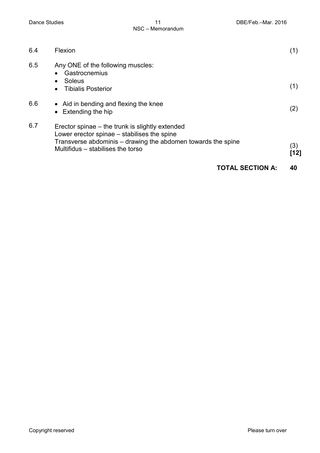| 6.7 | Erector spinae – the trunk is slightly extended<br>Lower erector spinae – stabilises the spine         |     |
|-----|--------------------------------------------------------------------------------------------------------|-----|
|     | Transverse abdominis – drawing the abdomen towards the spine                                           |     |
|     | $\bullet$ Extending the hip                                                                            | (2) |
| 6.6 | • Aid in bending and flexing the knee                                                                  |     |
| 6.5 | Any ONE of the following muscles:<br>Gastrocnemius<br>Soleus<br>$\bullet$<br><b>Tibialis Posterior</b> | (1) |
| 6.4 | Flexion                                                                                                | (1) |
|     |                                                                                                        |     |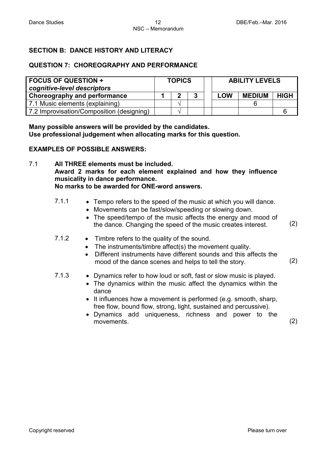#### **SECTION B: DANCE HISTORY AND LITERACY**

#### **QUESTION 7: CHOREOGRAPHY AND PERFORMANCE**

| <b>FOCUS OF QUESTION +</b><br>cognitive-level descriptors | <b>TOPICS</b> |  | <b>ABILITY LEVELS</b> |     |               |             |
|-----------------------------------------------------------|---------------|--|-----------------------|-----|---------------|-------------|
| Choreography and performance                              |               |  | 3                     | LOW | <b>MEDIUM</b> | <b>HIGH</b> |
| 7.1 Music elements (explaining)                           |               |  |                       |     |               |             |
| 7.2 Improvisation/Composition (designing)                 |               |  |                       |     |               |             |

**Many possible answers will be provided by the candidates. Use professional judgement when allocating marks for this question.**

#### **EXAMPLES OF POSSIBLE ANSWERS:**

7.1 **All THREE elements must be included. Award 2 marks for each element explained and how they influence musicality in dance performance. No marks to be awarded for ONE-word answers.**

- 7.1.1 Tempo refers to the speed of the music at which you will dance.
	- Movements can be fast/slow/speeding or slowing down.
	- The speed/tempo of the music affects the energy and mood of the dance. Changing the speed of the music creates interest. (2)
- 7.1.2 Timbre refers to the quality of the sound.
	- The instruments/timbre affect(s) the movement quality.
	- Different instruments have different sounds and this affects the mood of the dance scenes and helps to tell the story. (2)
- 7.1.3 Dynamics refer to how loud or soft, fast or slow music is played.
	- The dynamics within the music affect the dynamics within the dance
	- It influences how a movement is performed (e.g. smooth, sharp, free flow, bound flow, strong, light, sustained and percussive).
	- Dynamics add uniqueness, richness and power to the movements. (2)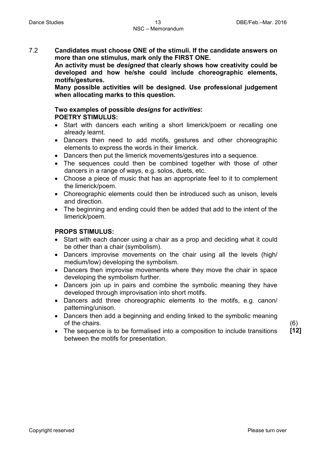7.2 **Candidates must choose ONE of the stimuli. If the candidate answers on more than one stimulus, mark only the FIRST ONE.** 

**An activity must be** *designed* **that clearly shows how creativity could be developed and how he/she could include choreographic elements, motifs/gestures.**

**Many possible activities will be designed. Use professional judgement when allocating marks to this question.** 

#### **Two examples of possible** *designs* **for** *activities***: POETRY STIMULUS:**

- Start with dancers each writing a short limerick/poem or recalling one already learnt.
- Dancers then need to add motifs, gestures and other choreographic elements to express the words in their limerick.
- Dancers then put the limerick movements/gestures into a sequence.
- The sequences could then be combined together with those of other dancers in a range of ways, e.g. solos, duets, etc.
- Choose a piece of music that has an appropriate feel to it to complement the limerick/poem.
- Choreographic elements could then be introduced such as unison, levels and direction.
- The beginning and ending could then be added that add to the intent of the limerick/poem.

#### **PROPS STIMULUS:**

- Start with each dancer using a chair as a prop and deciding what it could be other than a chair (symbolism).
- Dancers improvise movements on the chair using all the levels (high/ medium/low) developing the symbolism.
- Dancers then improvise movements where they move the chair in space developing the symbolism further.
- Dancers join up in pairs and combine the symbolic meaning they have developed through improvisation into short motifs.
- Dancers add three choreographic elements to the motifs, e.g. canon/ patterning/unison.
- Dancers then add a beginning and ending linked to the symbolic meaning of the chairs.
- The sequence is to be formalised into a composition to include transitions between the motifs for presentation.

(6) **[12]**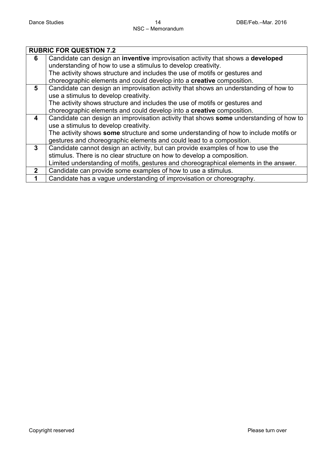|                | <b>RUBRIC FOR QUESTION 7.2</b>                                                         |
|----------------|----------------------------------------------------------------------------------------|
| 6              | Candidate can design an inventive improvisation activity that shows a developed        |
|                | understanding of how to use a stimulus to develop creativity.                          |
|                | The activity shows structure and includes the use of motifs or gestures and            |
|                | choreographic elements and could develop into a creative composition.                  |
| 5              | Candidate can design an improvisation activity that shows an understanding of how to   |
|                | use a stimulus to develop creativity.                                                  |
|                | The activity shows structure and includes the use of motifs or gestures and            |
|                | choreographic elements and could develop into a creative composition.                  |
| 4              | Candidate can design an improvisation activity that shows some understanding of how to |
|                | use a stimulus to develop creativity.                                                  |
|                | The activity shows some structure and some understanding of how to include motifs or   |
|                | gestures and choreographic elements and could lead to a composition.                   |
| $\mathbf{3}$   | Candidate cannot design an activity, but can provide examples of how to use the        |
|                | stimulus. There is no clear structure on how to develop a composition.                 |
|                | Limited understanding of motifs, gestures and choreographical elements in the answer.  |
| $\overline{2}$ | Candidate can provide some examples of how to use a stimulus.                          |
|                | Candidate has a vague understanding of improvisation or choreography.                  |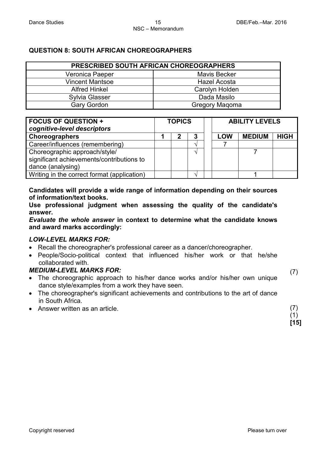#### **QUESTION 8: SOUTH AFRICAN CHOREOGRAPHERS**

| PRESCRIBED SOUTH AFRICAN CHOREOGRAPHERS |                     |  |  |  |  |
|-----------------------------------------|---------------------|--|--|--|--|
| Veronica Paeper                         | <b>Mavis Becker</b> |  |  |  |  |
| <b>Vincent Mantsoe</b>                  | Hazel Acosta        |  |  |  |  |
| <b>Alfred Hinkel</b>                    | Carolyn Holden      |  |  |  |  |
| <b>Sylvia Glasser</b>                   | Dada Masilo         |  |  |  |  |
| <b>Gary Gordon</b>                      | Gregory Maqoma      |  |  |  |  |

| <b>FOCUS OF QUESTION +</b><br>cognitive-level descriptors | <b>TOPICS</b> |   |   | <b>ABILITY LEVELS</b> |               |             |  |
|-----------------------------------------------------------|---------------|---|---|-----------------------|---------------|-------------|--|
| Choreographers                                            |               | 2 | 3 | <b>LOW</b>            | <b>MEDIUM</b> | <b>HIGH</b> |  |
| Career/influences (remembering)                           |               |   |   |                       |               |             |  |
| Choreographic approach/style/                             |               |   |   |                       |               |             |  |
| significant achievements/contributions to                 |               |   |   |                       |               |             |  |
| dance (analysing)                                         |               |   |   |                       |               |             |  |
| Writing in the correct format (application)               |               |   |   |                       |               |             |  |

**Candidates will provide a wide range of information depending on their sources of information/text books.** 

**Use professional judgment when assessing the quality of the candidate's answer.** 

*Evaluate the whole answer* **in context to determine what the candidate knows and award marks accordingly:**

#### *LOW-LEVEL MARKS FOR:*

- Recall the choreographer's professional career as a dancer/choreographer.
- People/Socio-political context that influenced his/her work or that he/she collaborated with.

#### *MEDIUM-LEVEL MARKS FOR:*

- The choreographic approach to his/her dance works and/or his/her own unique dance style/examples from a work they have seen.
- The choreographer's significant achievements and contributions to the art of dance in South Africa.
- Answer written as an article.

(7)

(7)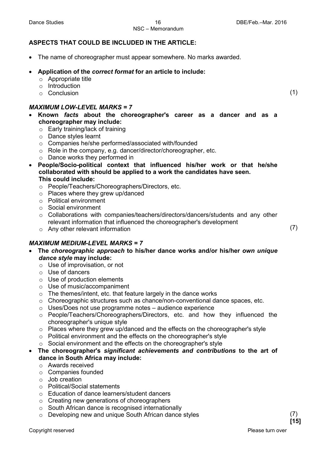#### NSC – Memorandum

#### **ASPECTS THAT COULD BE INCLUDED IN THE ARTICLE:**

• The name of choreographer must appear somewhere. No marks awarded.

#### • **Application of the** *correct format* **for an article to include:**

- $\circ$  Appropriate title
- o Introduction
- o Conclusion

#### *MAXIMUM LOW-LEVEL MARKS = 7*

- **Known** *facts* **about the choreographer's career as a dancer and as a choreographer may include:**
	- o Early training/lack of training
	- o Dance styles learnt
	- o Companies he/she performed/associated with/founded
	- o Role in the company, e.g. dancer/director/choreographer, etc.
	- o Dance works they performed in
- **People/Socio-political context that influenced his/her work or that he/she collaborated with should be applied to a work the candidates have seen. This could include:**
	- o People/Teachers/Choreographers/Directors, etc.
	- o Places where they grew up/danced
	- o Political environment
	- o Social environment
	- o Collaborations with companies/teachers/directors/dancers/students and any other relevant information that influenced the choreographer's development
	- o Any other relevant information

#### *MAXIMUM MEDIUM-LEVEL MARKS = 7*

- **The** *choreographic approach* **to his/her dance works and/or his/her** *own unique dance style* **may include:**
	- o Use of improvisation, or not
	- o Use of dancers
	- o Use of production elements
	- o Use of music/accompaniment
	- $\circ$  The themes/intent, etc. that feature largely in the dance works
	- $\circ$  Choreographic structures such as chance/non-conventional dance spaces, etc.
	- o Uses/Does not use programme notes audience experience
	- o People/Teachers/Choreographers/Directors, etc. and how they influenced the choreographer's unique style
	- $\circ$  Places where they grew up/danced and the effects on the choreographer's style
	- $\circ$  Political environment and the effects on the choreographer's style
	- o Social environment and the effects on the choreographer's style
- **The choreographer's** *significant achievements and contributions* **to the art of dance in South Africa may include:**
	- o Awards received
	- o Companies founded
	- o Job creation
	- o Political/Social statements
	- o Education of dance learners/student dancers
	- o Creating new generations of choreographers
	- o South African dance is recognised internationally
	- o Developing new and unique South African dance styles

(7)

(1)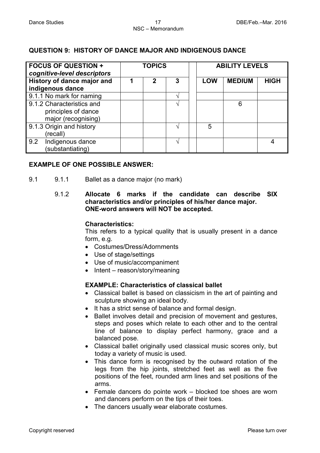#### **QUESTION 9: HISTORY OF DANCE MAJOR AND INDIGENOUS DANCE**

| <b>FOCUS OF QUESTION +</b><br>cognitive-level descriptors               | <b>TOPICS</b> |             |   | <b>ABILITY LEVELS</b> |               |             |  |
|-------------------------------------------------------------------------|---------------|-------------|---|-----------------------|---------------|-------------|--|
| History of dance major and<br>indigenous dance                          |               | $\mathbf 2$ | 3 | <b>LOW</b>            | <b>MEDIUM</b> | <b>HIGH</b> |  |
| 9.1.1 No mark for naming                                                |               |             |   |                       |               |             |  |
| 9.1.2 Characteristics and<br>principles of dance<br>major (recognising) |               |             |   |                       | 6             |             |  |
| 9.1.3 Origin and history<br>(recall)                                    |               |             |   | 5                     |               |             |  |
| Indigenous dance<br>9.2<br>(substantiating)                             |               |             |   |                       |               | 4           |  |

#### **EXAMPLE OF ONE POSSIBLE ANSWER:**

- 9.1 9.1.1 Ballet as a dance major (no mark)
	- 9.1.2 **Allocate 6 marks if the candidate can describe SIX characteristics and/or principles of his/her dance major. ONE-word answers will NOT be accepted.**

#### **Characteristics:**

This refers to a typical quality that is usually present in a dance form, e.g.

- Costumes/Dress/Adornments
- Use of stage/settings
- Use of music/accompaniment
- Intent reason/story/meaning

#### **EXAMPLE: Characteristics of classical ballet**

- Classical ballet is based on classicism in the art of painting and sculpture showing an ideal body.
- It has a strict sense of balance and formal design.
- Ballet involves detail and precision of movement and gestures, steps and poses which relate to each other and to the central line of balance to display perfect harmony, grace and a balanced pose.
- Classical ballet originally used classical music scores only, but today a variety of music is used.
- This dance form is recognised by the outward rotation of the legs from the hip joints, stretched feet as well as the five positions of the feet, rounded arm lines and set positions of the arms.
- Female dancers do pointe work blocked toe shoes are worn and dancers perform on the tips of their toes.
- The dancers usually wear elaborate costumes.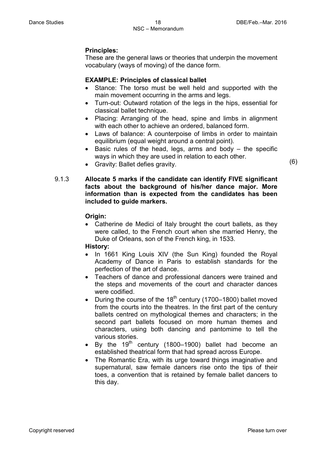#### **Principles:**

These are the general laws or theories that underpin the movement vocabulary (ways of moving) of the dance form.

#### **EXAMPLE: Principles of classical ballet**

- Stance: The torso must be well held and supported with the main movement occurring in the arms and legs.
- Turn-out: Outward rotation of the legs in the hips, essential for classical ballet technique.
- Placing: Arranging of the head, spine and limbs in alignment with each other to achieve an ordered, balanced form.
- Laws of balance: A counterpoise of limbs in order to maintain equilibrium (equal weight around a central point).
- Basic rules of the head, legs, arms and body the specific ways in which they are used in relation to each other.
- Gravity: Ballet defies gravity.

#### 9.1.3 **Allocate 5 marks if the candidate can identify FIVE significant facts about the background of his/her dance major. More information than is expected from the candidates has been included to guide markers.**

#### **Origin:**

• Catherine de Medici of Italy brought the court ballets, as they were called, to the French court when she married Henry, the Duke of Orleans, son of the French king, in 1533.

#### **History:**

- In 1661 King Louis XIV (the Sun King) founded the Royal Academy of Dance in Paris to establish standards for the perfection of the art of dance.
- Teachers of dance and professional dancers were trained and the steps and movements of the court and character dances were codified.
- During the course of the  $18<sup>th</sup>$  century (1700–1800) ballet moved from the courts into the theatres. In the first part of the century ballets centred on mythological themes and characters; in the second part ballets focused on more human themes and characters, using both dancing and pantomime to tell the various stories.
- By the  $19<sup>th</sup>$  century (1800–1900) ballet had become an established theatrical form that had spread across Europe.
- The Romantic Era, with its urge toward things imaginative and supernatural, saw female dancers rise onto the tips of their toes, a convention that is retained by female ballet dancers to this day.

(6)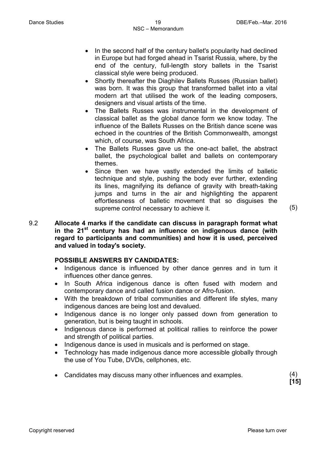- In the second half of the century ballet's popularity had declined in Europe but had forged ahead in Tsarist Russia, where, by the end of the century, full-length story ballets in the Tsarist classical style were being produced.
- Shortly thereafter the Diaghilev Ballets Russes (Russian ballet) was born. It was this group that transformed ballet into a vital modern art that utilised the work of the leading composers, designers and visual artists of the time.
- The Ballets Russes was instrumental in the development of classical ballet as the global dance form we know today. The influence of the Ballets Russes on the British dance scene was echoed in the countries of the British Commonwealth, amongst which, of course, was South Africa.
- The Ballets Russes gave us the one-act ballet, the abstract ballet, the psychological ballet and ballets on contemporary themes.
- Since then we have vastly extended the limits of balletic technique and style, pushing the body ever further, extending its lines, magnifying its defiance of gravity with breath-taking jumps and turns in the air and highlighting the apparent effortlessness of balletic movement that so disguises the supreme control necessary to achieve it. (5)
- 9.2 **Allocate 4 marks if the candidate can discuss in paragraph format what in the 21st century has had an influence on indigenous dance (with regard to participants and communities) and how it is used, perceived and valued in today's society.**

#### **POSSIBLE ANSWERS BY CANDIDATES:**

- Indigenous dance is influenced by other dance genres and in turn it influences other dance genres.
- In South Africa indigenous dance is often fused with modern and contemporary dance and called fusion dance or Afro-fusion.
- With the breakdown of tribal communities and different life styles, many indigenous dances are being lost and devalued.
- Indigenous dance is no longer only passed down from generation to generation, but is being taught in schools.
- Indigenous dance is performed at political rallies to reinforce the power and strength of political parties.
- Indigenous dance is used in musicals and is performed on stage.
- Technology has made indigenous dance more accessible globally through the use of You Tube, DVDs, cellphones, etc.
- Candidates may discuss many other influences and examples. (4)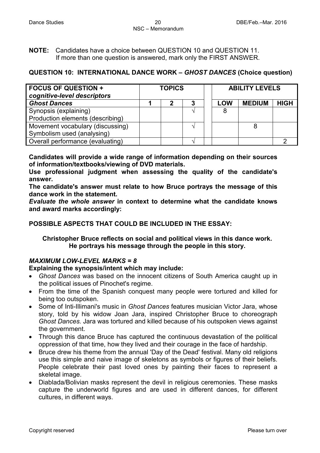**NOTE:** Candidates have a choice between QUESTION 10 and QUESTION 11. If more than one question is answered, mark only the FIRST ANSWER.

#### **QUESTION 10: INTERNATIONAL DANCE WORK –** *GHOST DANCES* **(Choice question)**

| <b>FOCUS OF QUESTION +</b><br>cognitive-level descriptors | <b>TOPICS</b> |    |  |            | <b>ABILITY LEVELS</b> |             |  |  |
|-----------------------------------------------------------|---------------|----|--|------------|-----------------------|-------------|--|--|
| <b>Ghost Dances</b>                                       |               | כי |  | <b>LOW</b> | <b>MEDIUM</b>         | <b>HIGH</b> |  |  |
| Synopsis (explaining)                                     |               |    |  | 8          |                       |             |  |  |
| Production elements (describing)                          |               |    |  |            |                       |             |  |  |
| Movement vocabulary (discussing)                          |               |    |  |            | 8                     |             |  |  |
| Symbolism used (analysing)                                |               |    |  |            |                       |             |  |  |
| Overall performance (evaluating)                          |               |    |  |            |                       |             |  |  |

**Candidates will provide a wide range of information depending on their sources of information/textbooks/viewing of DVD materials.** 

**Use professional judgment when assessing the quality of the candidate's answer.** 

**The candidate's answer must relate to how Bruce portrays the message of this dance work in the statement.**

*Evaluate the whole answer* **in context to determine what the candidate knows and award marks accordingly:**

#### **POSSIBLE ASPECTS THAT COULD BE INCLUDED IN THE ESSAY:**

#### **Christopher Bruce reflects on social and political views in this dance work. He portrays his message through the people in this story.**

#### *MAXIMUM LOW-LEVEL MARKS = 8*

#### **Explaining the synopsis/intent which may include:**

- *Ghost Dances* was based on the innocent citizens of South America caught up in the political issues of Pinochet's regime.
- From the time of the Spanish conquest many people were tortured and killed for being too outspoken.
- Some of Inti-Illimani's music in *Ghost Dances* features musician Victor Jara, whose story, told by his widow Joan Jara, inspired Christopher Bruce to choreograph *Ghost Dances.* Jara was tortured and killed because of his outspoken views against the government.
- Through this dance Bruce has captured the continuous devastation of the political oppression of that time, how they lived and their courage in the face of hardship.
- Bruce drew his theme from the annual 'Day of the Dead' festival. Many old religions use this simple and naive image of skeletons as symbols or figures of their beliefs. People celebrate their past loved ones by painting their faces to represent a skeletal image.
- Diablada/Bolivian masks represent the devil in religious ceremonies. These masks capture the underworld figures and are used in different dances, for different cultures, in different ways.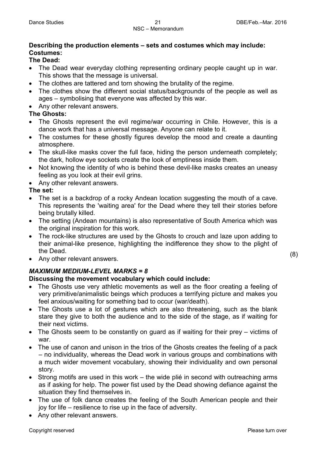#### **Describing the production elements – sets and costumes which may include: Costumes:**

#### **The Dead:**

- The Dead wear everyday clothing representing ordinary people caught up in war. This shows that the message is universal.
- The clothes are tattered and torn showing the brutality of the regime.
- The clothes show the different social status/backgrounds of the people as well as ages – symbolising that everyone was affected by this war.
- Any other relevant answers.

#### **The Ghosts:**

- The Ghosts represent the evil regime/war occurring in Chile. However, this is a dance work that has a universal message. Anyone can relate to it.
- The costumes for these ghostly figures develop the mood and create a daunting atmosphere.
- The skull-like masks cover the full face, hiding the person underneath completely; the dark, hollow eye sockets create the look of emptiness inside them.
- Not knowing the identity of who is behind these devil-like masks creates an uneasy feeling as you look at their evil grins.
- Any other relevant answers.

#### **The set:**

- The set is a backdrop of a rocky Andean location suggesting the mouth of a cave. This represents the 'waiting area' for the Dead where they tell their stories before being brutally killed.
- The setting (Andean mountains) is also representative of South America which was the original inspiration for this work.
- The rock-like structures are used by the Ghosts to crouch and laze upon adding to their animal-like presence, highlighting the indifference they show to the plight of the Dead.
- Any other relevant answers.

### *MAXIMUM MEDIUM-LEVEL MARKS = 8*

#### **Discussing the movement vocabulary which could include:**

- The Ghosts use very athletic movements as well as the floor creating a feeling of very primitive/animalistic beings which produces a terrifying picture and makes you feel anxious/waiting for something bad to occur (war/death).
- The Ghosts use a lot of gestures which are also threatening, such as the blank stare they give to both the audience and to the side of the stage, as if waiting for their next victims.
- The Ghosts seem to be constantly on guard as if waiting for their prey victims of war.
- The use of canon and unison in the trios of the Ghosts creates the feeling of a pack – no individuality, whereas the Dead work in various groups and combinations with a much wider movement vocabulary, showing their individuality and own personal story.
- Strong motifs are used in this work the wide plié in second with outreaching arms as if asking for help. The power fist used by the Dead showing defiance against the situation they find themselves in.
- The use of folk dance creates the feeling of the South American people and their joy for life – resilience to rise up in the face of adversity.
- Any other relevant answers.

(8)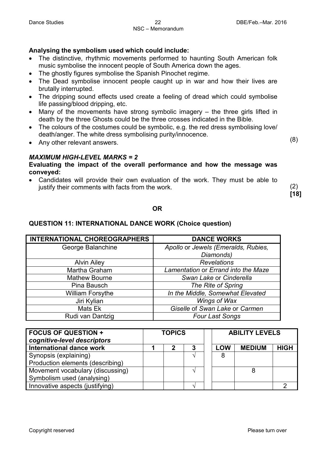#### **Analysing the symbolism used which could include:**

- The distinctive, rhythmic movements performed to haunting South American folk music symbolise the innocent people of South America down the ages.
- The ghostly figures symbolise the Spanish Pinochet regime.
- The Dead symbolise innocent people caught up in war and how their lives are brutally interrupted.
- The dripping sound effects used create a feeling of dread which could symbolise life passing/blood dripping, etc.
- Many of the movements have strong symbolic imagery the three girls lifted in death by the three Ghosts could be the three crosses indicated in the Bible.
- The colours of the costumes could be symbolic, e.g. the red dress symbolising love/ death/anger. The white dress symbolising purity/innocence.
- Any other relevant answers.

(8)

#### *MAXIMUM HIGH-LEVEL MARKS = 2* **Evaluating the impact of the overall performance and how the message was conveyed:**

• Candidates will provide their own evaluation of the work. They must be able to justify their comments with facts from the work.

(2) **[18]**

#### **OR**

#### **QUESTION 11: INTERNATIONAL DANCE WORK (Choice question)**

| <b>INTERNATIONAL CHOREOGRAPHERS</b> | <b>DANCE WORKS</b>                  |
|-------------------------------------|-------------------------------------|
| George Balanchine                   | Apollo or Jewels (Emeralds, Rubies, |
|                                     | Diamonds)                           |
| <b>Alvin Ailey</b>                  | <b>Revelations</b>                  |
| Martha Graham                       | Lamentation or Errand into the Maze |
| <b>Mathew Bourne</b>                | Swan Lake or Cinderella             |
| Pina Bausch                         | The Rite of Spring                  |
| <b>William Forsythe</b>             | In the Middle, Somewhat Elevated    |
| Jiri Kylian                         | Wings of Wax                        |
| Mats Ek                             | Giselle of Swan Lake or Carmen      |
| Rudi van Dantzig                    | <b>Four Last Songs</b>              |

| <b>FOCUS OF QUESTION +</b><br>cognitive-level descriptors | <b>TOPICS</b> |  |   | <b>ABILITY LEVELS</b> |               |             |  |
|-----------------------------------------------------------|---------------|--|---|-----------------------|---------------|-------------|--|
| <b>International dance work</b>                           |               |  | 3 | <b>LOW</b>            | <b>MEDIUM</b> | <b>HIGH</b> |  |
| Synopsis (explaining)                                     |               |  |   | 8                     |               |             |  |
| Production elements (describing)                          |               |  |   |                       |               |             |  |
| Movement vocabulary (discussing)                          |               |  |   |                       |               |             |  |
| Symbolism used (analysing)                                |               |  |   |                       |               |             |  |
| Innovative aspects (justifying)                           |               |  |   |                       |               |             |  |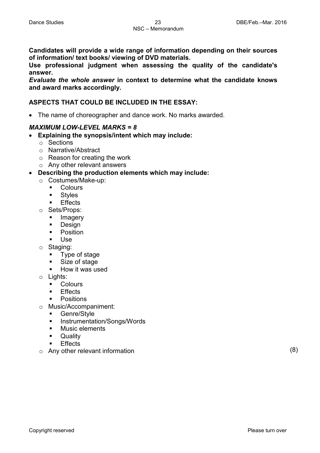**Candidates will provide a wide range of information depending on their sources of information/ text books/ viewing of DVD materials.** 

**Use professional judgment when assessing the quality of the candidate's answer.** 

*Evaluate the whole answer* **in context to determine what the candidate knows and award marks accordingly.**

#### **ASPECTS THAT COULD BE INCLUDED IN THE ESSAY:**

• The name of choreographer and dance work. No marks awarded.

#### *MAXIMUM LOW-LEVEL MARKS = 8*

- **Explaining the synopsis/intent which may include:**
	- o Sections
	- o Narrative/Abstract
	- o Reason for creating the work
	- o Any other relevant answers
- **Describing the production elements which may include:**
	- o Costumes/Make-up:
		- **Colours**
		- **Styles**
		- Effects
	- o Sets/Props:
		- Imagery
		- **Design**
		- **Position**
		- Use
	- o Staging:<br>■ Type
		- Type of stage
		- Size of stage
		- **How it was used**
	- o Lights:
		- **Colours**
		- Effects
		- Positions
	- o Music/Accompaniment:<br>■ Genre/Style
		- Genre/Style
		- **Instrumentation/Songs/Words**
		- **Music elements**
		- **Deality**
		- Effects
	- o Any other relevant information (8)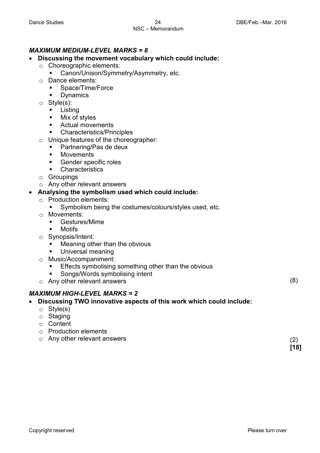## NSC – Memorandum

#### *MAXIMUM MEDIUM-LEVEL MARKS = 8*

- **Discussing the movement vocabulary which could include:**
	- o Choreographic elements:
		- Canon/Unison/Symmetry/Asymmetry, etc.
	- Dance elements:<br>Space/Time/
		- Space/Time/Force
		- Dynamics
	- o Style(s):
		- **Listing**<br>**Mix of**
		- Mix of styles
		- **EXECUTE:** Actual movements
		- Characteristics/Principles
	- $\circ$  Unique features of the choreographer:<br> $\bullet$  Partnering/Pas de deux
		- Partnering/Pas de deux
		- **■** Movements
		- Gender specific roles
		- **Characteristics**
	- o Groupings
	- o Any other relevant answers

#### • **Analysing the symbolism used which could include:**

- o Production elements:
	- Symbolism being the costumes/colours/styles used, etc.
- o Movements:
	- Gestures/Mime
	- **Motifs**
- o Synopsis/Intent:
	- Meaning other than the obvious
	- Universal meaning
- o Music/Accompaniment:
	- **Effects symbolising something other than the obvious**
	- Songs/Words symbolising intent
- o Any other relevant answers

#### *MAXIMUM HIGH-LEVEL MARKS = 2*

- **Discussing TWO innovative aspects of this work which could include:**
	- o Style(s)
	- o Staging
	- o Content
	- o Production elements
	- o Any other relevant answers

(8)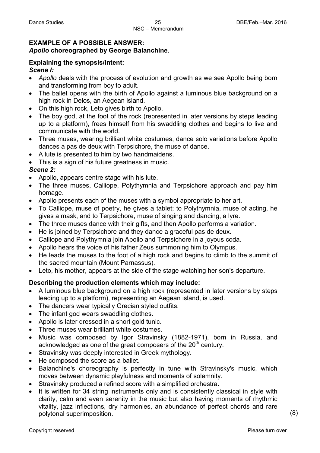#### **EXAMPLE OF A POSSIBLE ANSWER:** *Apollo* **choreographed by George Balanchine.**

### **Explaining the synopsis/intent:**

#### *Scene I:*

- *Apollo* deals with the process of evolution and growth as we see Apollo being born and transforming from boy to adult.
- The ballet opens with the birth of Apollo against a luminous blue background on a high rock in Delos, an Aegean island.
- On this high rock, Leto gives birth to Apollo.
- The boy god, at the foot of the rock (represented in later versions by steps leading up to a platform), frees himself from his swaddling clothes and begins to live and communicate with the world.
- Three muses, wearing brilliant white costumes, dance solo variations before Apollo dances a pas de deux with Terpsichore, the muse of dance.
- A lute is presented to him by two handmaidens.
- This is a sign of his future greatness in music.

#### *Scene 2:*

- Apollo, appears centre stage with his lute.
- The three muses, Calliope, Polythymnia and Terpsichore approach and pay him homage.
- Apollo presents each of the muses with a symbol appropriate to her art.
- To Calliope, muse of poetry, he gives a tablet; to Polythymnia, muse of acting, he gives a mask, and to Terpsichore, muse of singing and dancing, a lyre.
- The three muses dance with their gifts, and then Apollo performs a variation.
- He is joined by Terpsichore and they dance a graceful pas de deux.
- Calliope and Polythymnia join Apollo and Terpsichore in a joyous coda.
- Apollo hears the voice of his father Zeus summoning him to Olympus.
- He leads the muses to the foot of a high rock and begins to climb to the summit of the sacred mountain (Mount Parnassus).
- Leto, his mother, appears at the side of the stage watching her son's departure.

#### **Describing the production elements which may include:**

- A luminous blue background on a high rock (represented in later versions by steps leading up to a platform), representing an Aegean island, is used.
- The dancers wear typically Grecian styled outfits.
- The infant god wears swaddling clothes.
- Apollo is later dressed in a short gold tunic.
- Three muses wear brilliant white costumes.
- Music was composed by Igor Stravinsky (1882-1971), born in Russia, and acknowledged as one of the great composers of the  $20<sup>th</sup>$  century.
- Stravinsky was deeply interested in Greek mythology.
- He composed the score as a ballet.
- Balanchine's choreography is perfectly in tune with Stravinsky's music, which moves between dynamic playfulness and moments of solemnity.
- Stravinsky produced a refined score with a simplified orchestra.
- It is written for 34 string instruments only and is consistently classical in style with clarity, calm and even serenity in the music but also having moments of rhythmic vitality, jazz inflections, dry harmonies, an abundance of perfect chords and rare polytonal superimposition. (8)